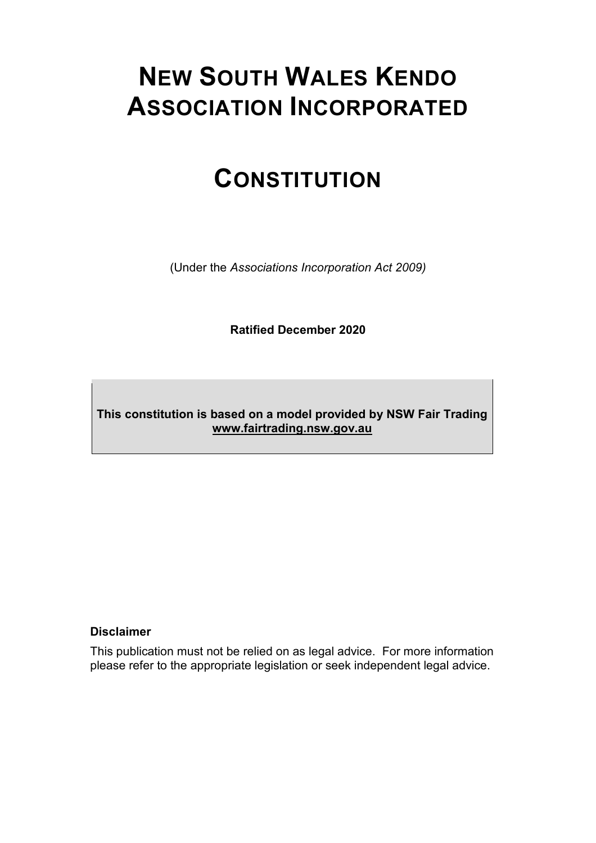# **NEW SOUTH WALES KENDO ASSOCIATION INCORPORATED**

# **CONSTITUTION**

(Under the *Associations Incorporation Act 2009)*

**Ratified December 2020**

**This constitution is based on a model provided by NSW Fair Trading [www.fairtrading.nsw.gov.au](http://www.fairtrading.nsw.gov.au/)**

#### **Disclaimer**

This publication must not be relied on as legal advice. For more information please refer to the appropriate legislation or seek independent legal advice.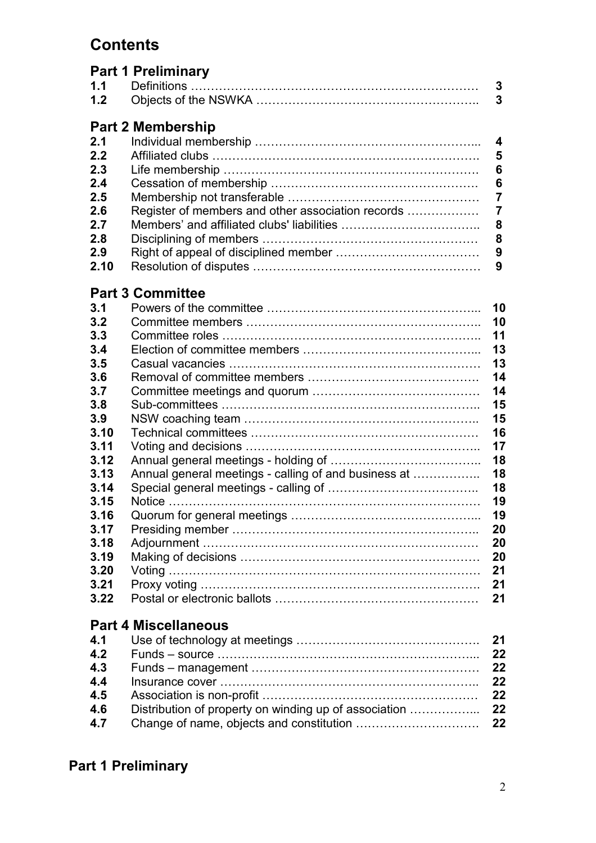## **Contents**

| <b>Part 1 Preliminary</b> |  |
|---------------------------|--|
|                           |  |
|                           |  |

|  |  |  | <b>Part 2 Membership</b> |
|--|--|--|--------------------------|
|--|--|--|--------------------------|

|      | L GILL ANNUNDURING |  |
|------|--------------------|--|
| 2.1  |                    |  |
| 2.2  |                    |  |
| 2.3  |                    |  |
| 2.4  |                    |  |
| 2.5  |                    |  |
| 2.6  |                    |  |
| 2.7  |                    |  |
| 2.8  |                    |  |
| 2.9  |                    |  |
| 2.10 |                    |  |
|      |                    |  |

## **Part 3 Committee**

| 3.1                         |                                                      | 10 |  |  |  |  |
|-----------------------------|------------------------------------------------------|----|--|--|--|--|
| 3.2                         |                                                      | 10 |  |  |  |  |
| 3.3                         |                                                      | 11 |  |  |  |  |
| 3.4                         |                                                      | 13 |  |  |  |  |
| 3.5                         |                                                      | 13 |  |  |  |  |
| 3.6                         |                                                      | 14 |  |  |  |  |
| 3.7                         |                                                      | 14 |  |  |  |  |
| 3.8                         |                                                      | 15 |  |  |  |  |
| 3.9                         |                                                      | 15 |  |  |  |  |
| 3.10                        |                                                      | 16 |  |  |  |  |
| 3.11                        |                                                      | 17 |  |  |  |  |
| 3.12                        |                                                      | 18 |  |  |  |  |
| 3.13                        | Annual general meetings - calling of and business at | 18 |  |  |  |  |
| 3.14                        |                                                      | 18 |  |  |  |  |
| 3.15                        |                                                      | 19 |  |  |  |  |
| 3.16                        |                                                      | 19 |  |  |  |  |
| 3.17                        |                                                      | 20 |  |  |  |  |
| 3.18                        |                                                      | 20 |  |  |  |  |
| 3.19                        |                                                      | 20 |  |  |  |  |
| 3.20                        |                                                      | 21 |  |  |  |  |
| 3.21                        |                                                      | 21 |  |  |  |  |
| 3.22                        |                                                      | 21 |  |  |  |  |
| <b>Part 4 Miscellaneous</b> |                                                      |    |  |  |  |  |

| 4.2 |  |
|-----|--|
| 4.3 |  |
| 4.4 |  |
| 4.5 |  |
| 4.6 |  |
| 4.7 |  |
|     |  |

## **Part 1 Preliminary**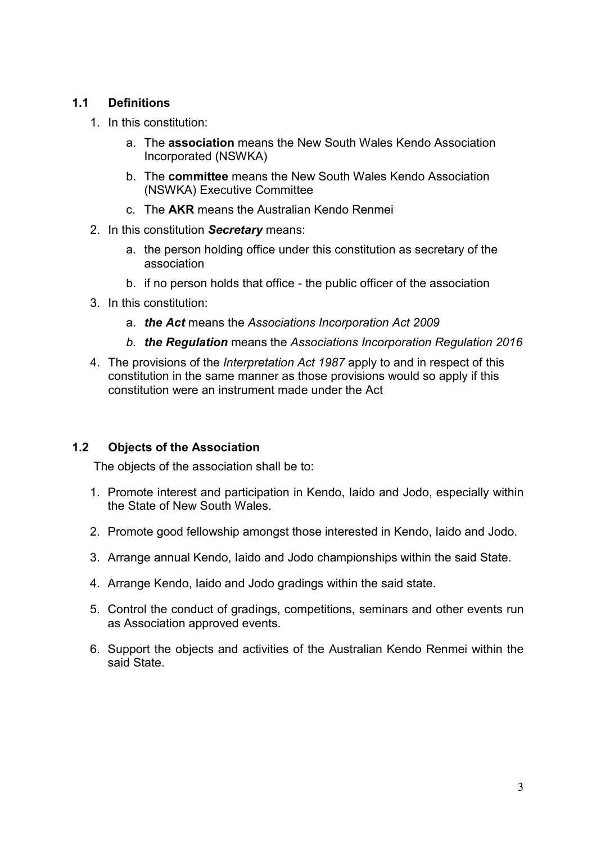#### **1.1 Definitions**

- 1. In this constitution:
	- a. The **association** means the New South Wales Kendo Association Incorporated (NSWKA)
	- b. The **committee** means the New South Wales Kendo Association (NSWKA) Executive Committee
	- c. The **AKR** means the Australian Kendo Renmei
- 2. In this constitution *Secretary* means:
	- a. the person holding office under this constitution as secretary of the association
	- b. if no person holds that office the public officer of the association
- 3. In this constitution:
	- a. *the Act* means the *Associations [Incorporation](http://www.legislation.nsw.gov.au/xref/inforce/?xref=Type%253Dact%2520AND%2520Year%253D2009%2520AND%2520no%253D7&nohits=y) Act 2009*
	- *b. the Regulation* means the *Associations [Incorporation](http://www.legislation.nsw.gov.au/xref/inforce/?xref=Type%253Dsubordleg%2520AND%2520Year%253D2010%2520AND%2520No%253D238&nohits=y) Regulation 2016*
- 4. The provisions of the *[Interpretation](http://www.legislation.nsw.gov.au/xref/inforce/?xref=Type%253Dact%2520AND%2520Year%253D1987%2520AND%2520no%253D15&nohits=y) Act 1987* apply to and in respect of this constitution in the same manner as those provisions would so apply if this constitution were an instrument made under the Act

#### **1.2 Objects of the Association**

The objects of the association shall be to:

- 1. Promote interest and participation in Kendo, Iaido and Jodo, especially within the State of New South Wales.
- 2. Promote good fellowship amongst those interested in Kendo, Iaido and Jodo.
- 3. Arrange annual Kendo, Iaido and Jodo championships within the said State.
- 4. Arrange Kendo, Iaido and Jodo gradings within the said state.
- 5. Control the conduct of gradings, competitions, seminars and other events run as Association approved events.
- 6. Support the objects and activities of the Australian Kendo Renmei within the said State.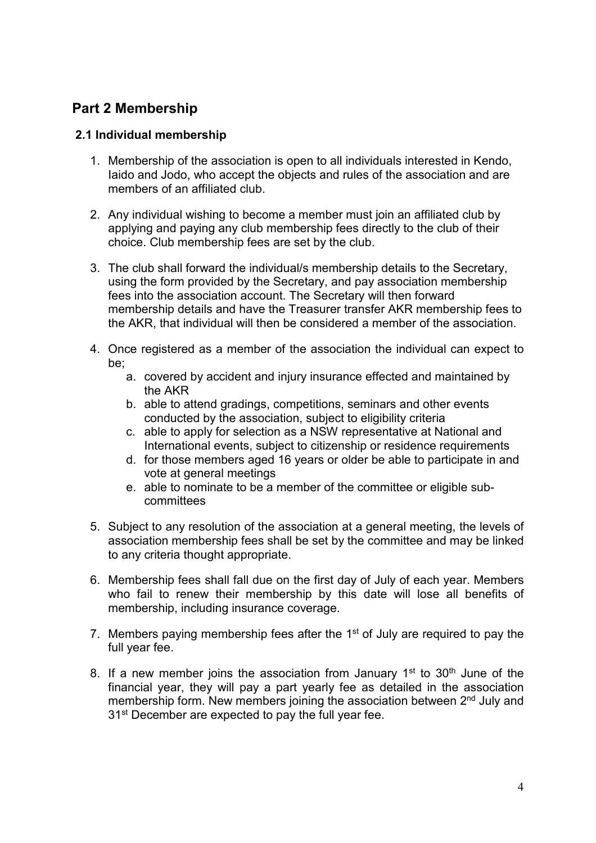### **Part 2 Membership**

#### **2.1 Individual membership**

- 1. Membership of the association is open to all individuals interested in Kendo, Iaido and Jodo, who accept the objects and rules of the association and are members of an affiliated club.
- 2. Any individual wishing to become a member must join an affiliated club by applying and paying any club membership fees directly to the club of their choice. Club membership fees are set by the club.
- 3. The club shall forward the individual/s membership details to the Secretary, using the form provided by the Secretary, and pay association membership fees into the association account. The Secretary will then forward membership details and have the Treasurer transfer AKR membership fees to the AKR, that individual will then be considered a member of the association.
- 4. Once registered as a member of the association the individual can expect to be;
	- a. covered by accident and injury insurance effected and maintained by the AKR
	- b. able to attend gradings, competitions, seminars and other events conducted by the association, subject to eligibility criteria
	- c. able to apply for selection as a NSW representative at National and International events, subject to citizenship or residence requirements
	- d. for those members aged 16 years or older be able to participate in and vote at general meetings
	- e. able to nominate to be a member of the committee or eligible subcommittees
- 5. Subject to any resolution of the association at a general meeting, the levels of association membership fees shall be set by the committee and may be linked to any criteria thought appropriate.
- 6. Membership fees shall fall due on the first day of July of each year. Members who fail to renew their membership by this date will lose all benefits of membership, including insurance coverage.
- 7. Members paying membership fees after the  $1<sup>st</sup>$  of July are required to pay the full year fee.
- 8. If a new member joins the association from January  $1<sup>st</sup>$  to  $30<sup>th</sup>$  June of the financial year, they will pay a part yearly fee as detailed in the association membership form. New members joining the association between 2<sup>nd</sup> July and 31<sup>st</sup> December are expected to pay the full year fee.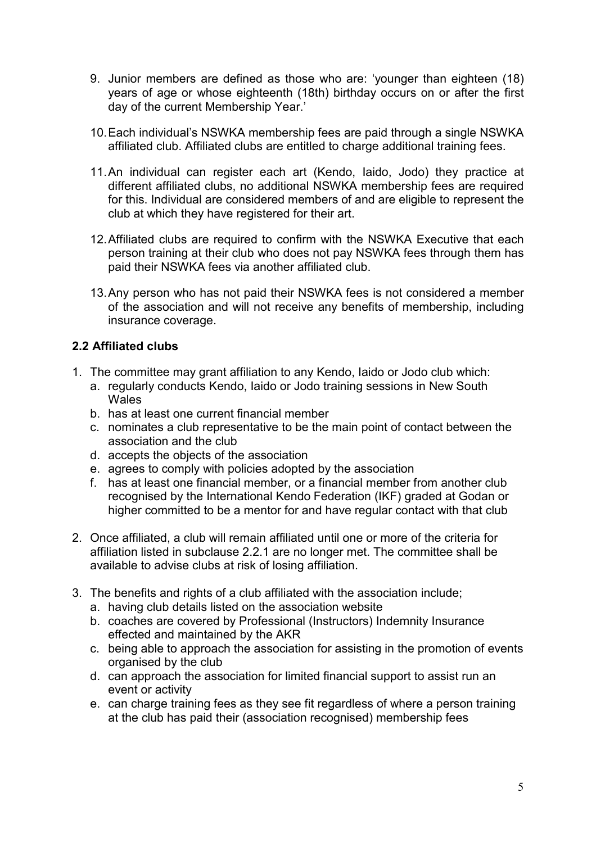- 9. Junior members are defined as those who are: 'younger than eighteen (18) years of age or whose eighteenth (18th) birthday occurs on or after the first day of the current Membership Year.'
- 10.Each individual's NSWKA membership fees are paid through a single NSWKA affiliated club. Affiliated clubs are entitled to charge additional training fees.
- 11.An individual can register each art (Kendo, Iaido, Jodo) they practice at different affiliated clubs, no additional NSWKA membership fees are required for this. Individual are considered members of and are eligible to represent the club at which they have registered for their art.
- 12.Affiliated clubs are required to confirm with the NSWKA Executive that each person training at their club who does not pay NSWKA fees through them has paid their NSWKA fees via another affiliated club.
- 13.Any person who has not paid their NSWKA fees is not considered a member of the association and will not receive any benefits of membership, including insurance coverage.

#### **2.2 Affiliated clubs**

- 1. The committee may grant affiliation to any Kendo, Iaido or Jodo club which:
	- a. regularly conducts Kendo, Iaido or Jodo training sessions in New South Wales
	- b. has at least one current financial member
	- c. nominates a club representative to be the main point of contact between the association and the club
	- d. accepts the objects of the association
	- e. agrees to comply with policies adopted by the association
	- f. has at least one financial member, or a financial member from another club recognised by the International Kendo Federation (IKF) graded at Godan or higher committed to be a mentor for and have regular contact with that club
- 2. Once affiliated, a club will remain affiliated until one or more of the criteria for affiliation listed in subclause 2.2.1 are no longer met. The committee shall be available to advise clubs at risk of losing affiliation.
- 3. The benefits and rights of a club affiliated with the association include;
	- a. having club details listed on the association website
	- b. coaches are covered by Professional (Instructors) Indemnity Insurance effected and maintained by the AKR
	- c. being able to approach the association for assisting in the promotion of events organised by the club
	- d. can approach the association for limited financial support to assist run an event or activity
	- e. can charge training fees as they see fit regardless of where a person training at the club has paid their (association recognised) membership fees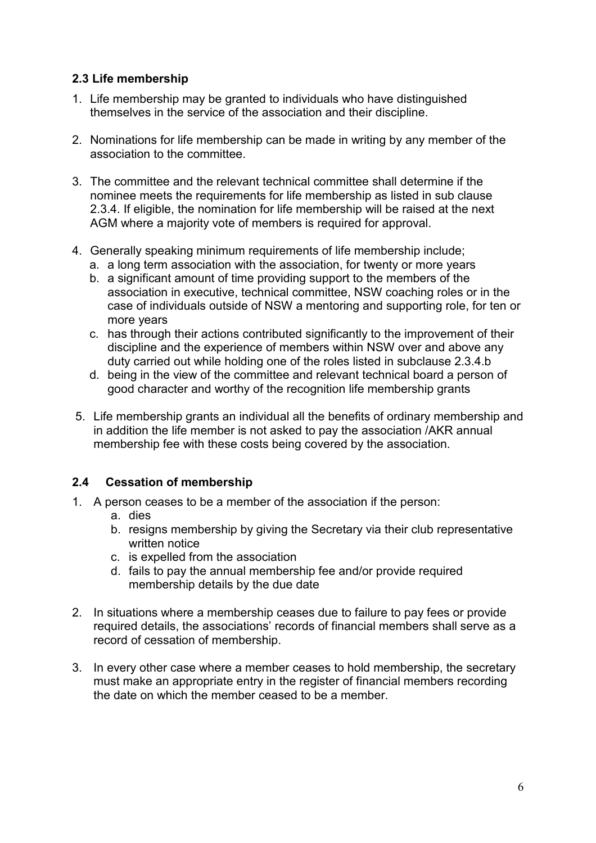#### **2.3 Life membership**

- 1. Life membership may be granted to individuals who have distinguished themselves in the service of the association and their discipline.
- 2. Nominations for life membership can be made in writing by any member of the association to the committee.
- 3. The committee and the relevant technical committee shall determine if the nominee meets the requirements for life membership as listed in sub clause 2.3.4. If eligible, the nomination for life membership will be raised at the next AGM where a majority vote of members is required for approval.
- 4. Generally speaking minimum requirements of life membership include;
	- a. a long term association with the association, for twenty or more years
	- b. a significant amount of time providing support to the members of the association in executive, technical committee, NSW coaching roles or in the case of individuals outside of NSW a mentoring and supporting role, for ten or more years
	- c. has through their actions contributed significantly to the improvement of their discipline and the experience of members within NSW over and above any duty carried out while holding one of the roles listed in subclause 2.3.4.b
	- d. being in the view of the committee and relevant technical board a person of good character and worthy of the recognition life membership grants
- 5. Life membership grants an individual all the benefits of ordinary membership and in addition the life member is not asked to pay the association /AKR annual membership fee with these costs being covered by the association.

#### **2.4 Cessation of membership**

- 1. A person ceases to be a member of the association if the person:
	- a. dies
	- b. resigns membership by giving the Secretary via their club representative written notice
	- c. is expelled from the association
	- d. fails to pay the annual membership fee and/or provide required membership details by the due date
- 2. In situations where a membership ceases due to failure to pay fees or provide required details, the associations' records of financial members shall serve as a record of cessation of membership.
- 3. In every other case where a member ceases to hold membership, the secretary must make an appropriate entry in the register of financial members recording the date on which the member ceased to be a member.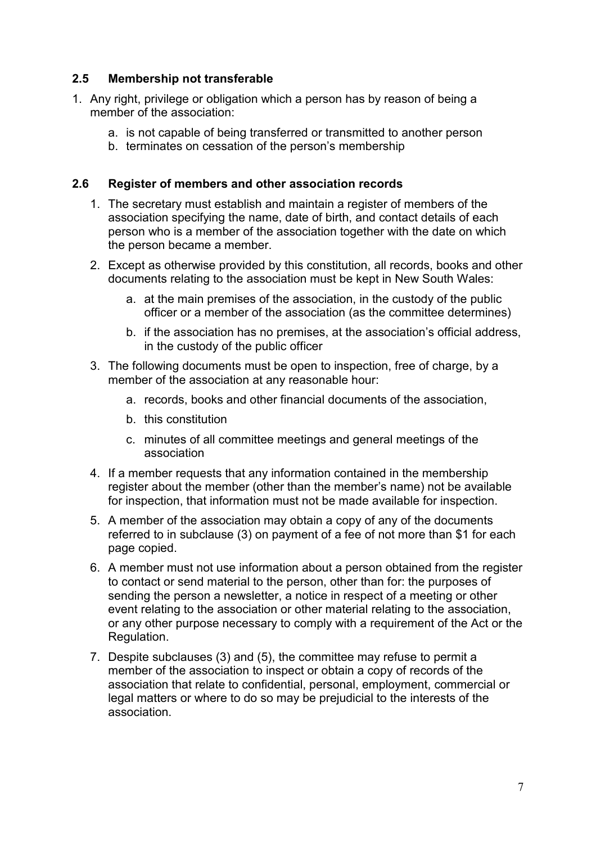#### **2.5 Membership not transferable**

- 1. Any right, privilege or obligation which a person has by reason of being a member of the association:
	- a. is not capable of being transferred or transmitted to another person
	- b. terminates on cessation of the person's membership

#### **2.6 Register of members and other association records**

- 1. The secretary must establish and maintain a register of members of the association specifying the name, date of birth, and contact details of each person who is a member of the association together with the date on which the person became a member.
- 2. Except as otherwise provided by this constitution, all records, books and other documents relating to the association must be kept in New South Wales:
	- a. at the main premises of the association, in the custody of the public officer or a member of the association (as the committee determines)
	- b. if the association has no premises, at the association's official address, in the custody of the public officer
- 3. The following documents must be open to inspection, free of charge, by a member of the association at any reasonable hour:
	- a. records, books and other financial documents of the association,
	- b. this constitution
	- c. minutes of all committee meetings and general meetings of the association
- 4. If a member requests that any information contained in the membership register about the member (other than the member's name) not be available for inspection, that information must not be made available for inspection.
- 5. A member of the association may obtain a copy of any of the documents referred to in subclause (3) on payment of a fee of not more than \$1 for each page copied.
- 6. A member must not use information about a person obtained from the register to contact or send material to the person, other than for: the purposes of sending the person a newsletter, a notice in respect of a meeting or other event relating to the association or other material relating to the association, or any other purpose necessary to comply with a requirement of the Act or the Regulation.
- 7. Despite subclauses (3) and (5), the committee may refuse to permit a member of the association to inspect or obtain a copy of records of the association that relate to confidential, personal, employment, commercial or legal matters or where to do so may be prejudicial to the interests of the association.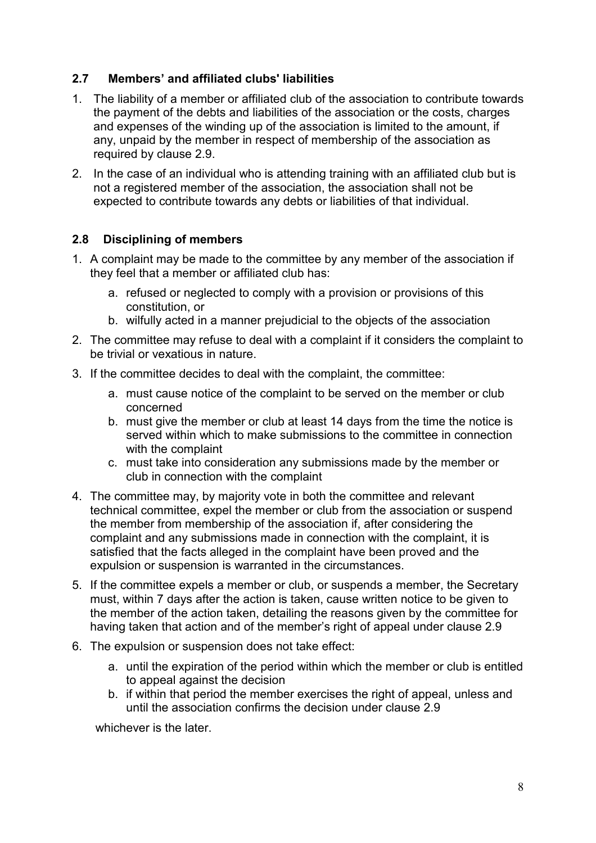#### **2.7 Members' and affiliated clubs' liabilities**

- 1. The liability of a member or affiliated club of the association to contribute towards the payment of the debts and liabilities of the association or the costs, charges and expenses of the winding up of the association is limited to the amount, if any, unpaid by the member in respect of membership of the association as required by clause 2.9.
- 2. In the case of an individual who is attending training with an affiliated club but is not a registered member of the association, the association shall not be expected to contribute towards any debts or liabilities of that individual.

#### **2.8 Disciplining of members**

- 1. A complaint may be made to the committee by any member of the association if they feel that a member or affiliated club has:
	- a. refused or neglected to comply with a provision or provisions of this constitution, or
	- b. wilfully acted in a manner prejudicial to the objects of the association
- 2. The committee may refuse to deal with a complaint if it considers the complaint to be trivial or vexatious in nature.
- 3. If the committee decides to deal with the complaint, the committee:
	- a. must cause notice of the complaint to be served on the member or club concerned
	- b. must give the member or club at least 14 days from the time the notice is served within which to make submissions to the committee in connection with the complaint
	- c. must take into consideration any submissions made by the member or club in connection with the complaint
- 4. The committee may, by majority vote in both the committee and relevant technical committee, expel the member or club from the association or suspend the member from membership of the association if, after considering the complaint and any submissions made in connection with the complaint, it is satisfied that the facts alleged in the complaint have been proved and the expulsion or suspension is warranted in the circumstances.
- 5. If the committee expels a member or club, or suspends a member, the Secretary must, within 7 days after the action is taken, cause written notice to be given to the member of the action taken, detailing the reasons given by the committee for having taken that action and of the member's right of appeal under clause 2.9
- 6. The expulsion or suspension does not take effect:
	- a. until the expiration of the period within which the member or club is entitled to appeal against the decision
	- b. if within that period the member exercises the right of appeal, unless and until the association confirms the decision under clause 2.9

whichever is the later.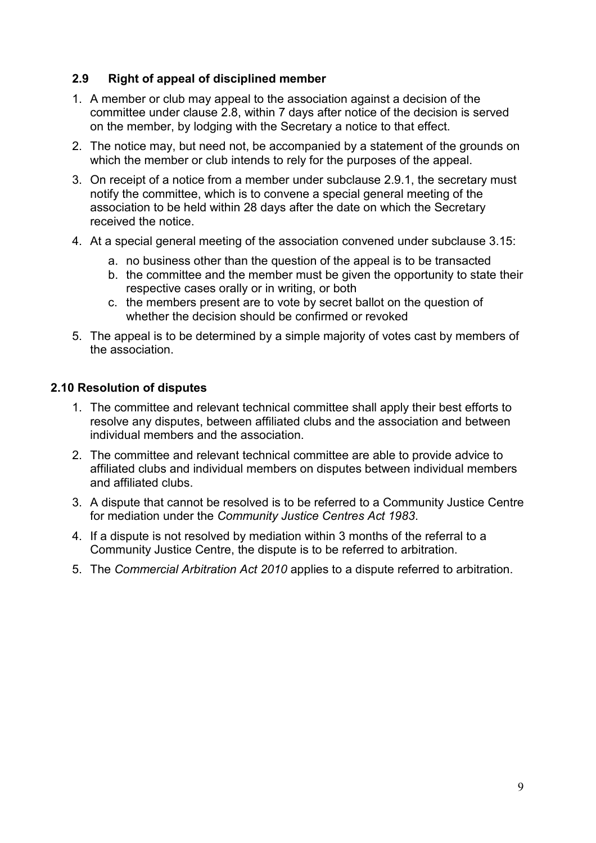#### **2.9 Right of appeal of disciplined member**

- 1. A member or club may appeal to the association against a decision of the committee under clause 2.8, within 7 days after notice of the decision is served on the member, by lodging with the Secretary a notice to that effect.
- 2. The notice may, but need not, be accompanied by a statement of the grounds on which the member or club intends to rely for the purposes of the appeal.
- 3. On receipt of a notice from a member under subclause 2.9.1, the secretary must notify the committee, which is to convene a special general meeting of the association to be held within 28 days after the date on which the Secretary received the notice.
- 4. At a special general meeting of the association convened under subclause 3.15:
	- a. no business other than the question of the appeal is to be transacted
	- b. the committee and the member must be given the opportunity to state their respective cases orally or in writing, or both
	- c. the members present are to vote by secret ballot on the question of whether the decision should be confirmed or revoked
- 5. The appeal is to be determined by a simple majority of votes cast by members of the association.

#### **2.10 Resolution of disputes**

- 1. The committee and relevant technical committee shall apply their best efforts to resolve any disputes, between affiliated clubs and the association and between individual members and the association.
- 2. The committee and relevant technical committee are able to provide advice to affiliated clubs and individual members on disputes between individual members and affiliated clubs.
- 3. A dispute that cannot be resolved is to be referred to a Community Justice Centre for mediation under the *Community Justice Centres Act 1983*.
- 4. If a dispute is not resolved by mediation within 3 months of the referral to a Community Justice Centre, the dispute is to be referred to arbitration.
- 5. The *Commercial Arbitration Act 2010* applies to a dispute referred to arbitration.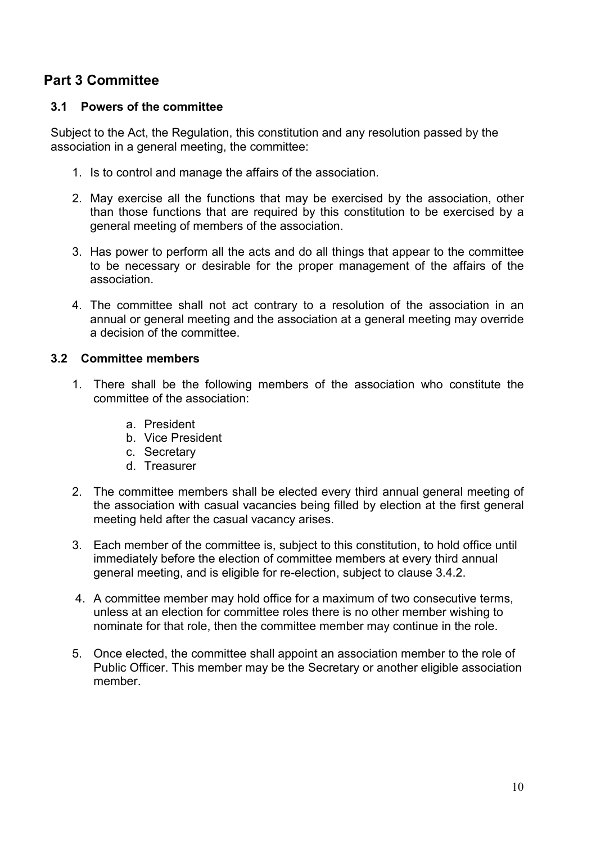## **Part 3 Committee**

#### **3.1 Powers of the committee**

Subject to the Act, the Regulation, this constitution and any resolution passed by the association in a general meeting, the committee:

- 1. Is to control and manage the affairs of the association.
- 2. May exercise all the functions that may be exercised by the association, other than those functions that are required by this constitution to be exercised by a general meeting of members of the association.
- 3. Has power to perform all the acts and do all things that appear to the committee to be necessary or desirable for the proper management of the affairs of the association.
- 4. The committee shall not act contrary to a resolution of the association in an annual or general meeting and the association at a general meeting may override a decision of the committee.

#### **3.2 Committee members**

- 1. There shall be the following members of the association who constitute the committee of the association:
	- a. President
	- b. Vice President
	- c. Secretary
	- d. Treasurer
- 2. The committee members shall be elected every third annual general meeting of the association with casual vacancies being filled by election at the first general meeting held after the casual vacancy arises.
- 3. Each member of the committee is, subject to this constitution, to hold office until immediately before the election of committee members at every third annual general meeting, and is eligible for re-election, subject to clause 3.4.2.
- 4. A committee member may hold office for a maximum of two consecutive terms, unless at an election for committee roles there is no other member wishing to nominate for that role, then the committee member may continue in the role.
- 5. Once elected, the committee shall appoint an association member to the role of Public Officer. This member may be the Secretary or another eligible association member.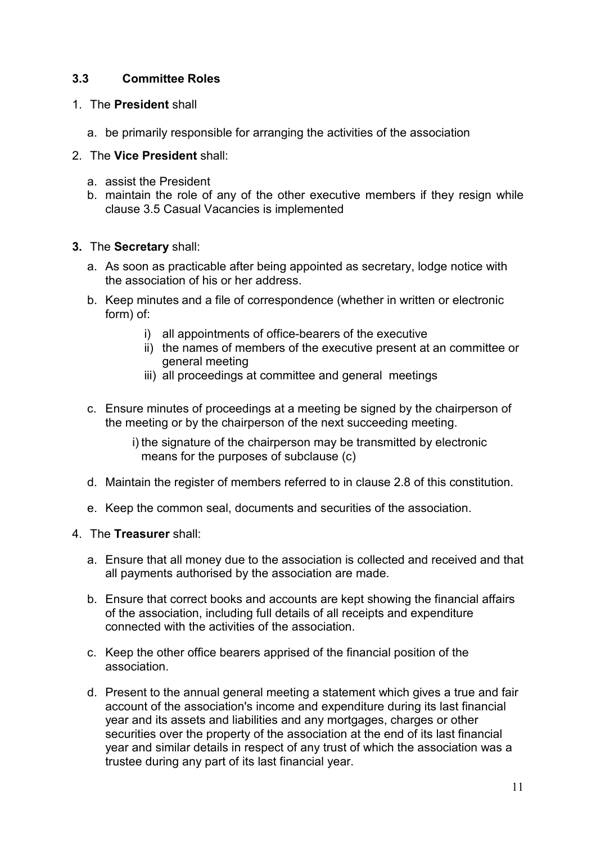#### **3.3 Committee Roles**

#### 1. The **President** shall

a. be primarily responsible for arranging the activities of the association

#### 2. The **Vice President** shall:

- a. assist the President
- b. maintain the role of any of the other executive members if they resign while clause 3.5 Casual Vacancies is implemented

#### **3.** The **Secretary** shall:

- a. As soon as practicable after being appointed as secretary, lodge notice with the association of his or her address.
- b. Keep minutes and a file of correspondence (whether in written or electronic form) of:
	- i) all appointments of office-bearers of the executive
	- ii) the names of members of the executive present at an committee or general meeting
	- iii) all proceedings at committee and general meetings
- c. Ensure minutes of proceedings at a meeting be signed by the chairperson of the meeting or by the chairperson of the next succeeding meeting.
	- i) the signature of the chairperson may be transmitted by electronic means for the purposes of subclause (c)
- d. Maintain the register of members referred to in clause 2.8 of this constitution.
- e. Keep the common seal, documents and securities of the association.

#### 4. The **Treasurer** shall:

- a. Ensure that all money due to the association is collected and received and that all payments authorised by the association are made.
- b. Ensure that correct books and accounts are kept showing the financial affairs of the association, including full details of all receipts and expenditure connected with the activities of the association.
- c. Keep the other office bearers apprised of the financial position of the association.
- d. Present to the annual general meeting a statement which gives a true and fair account of the association's income and expenditure during its last financial year and its assets and liabilities and any mortgages, charges or other securities over the property of the association at the end of its last financial year and similar details in respect of any trust of which the association was a trustee during any part of its last financial year.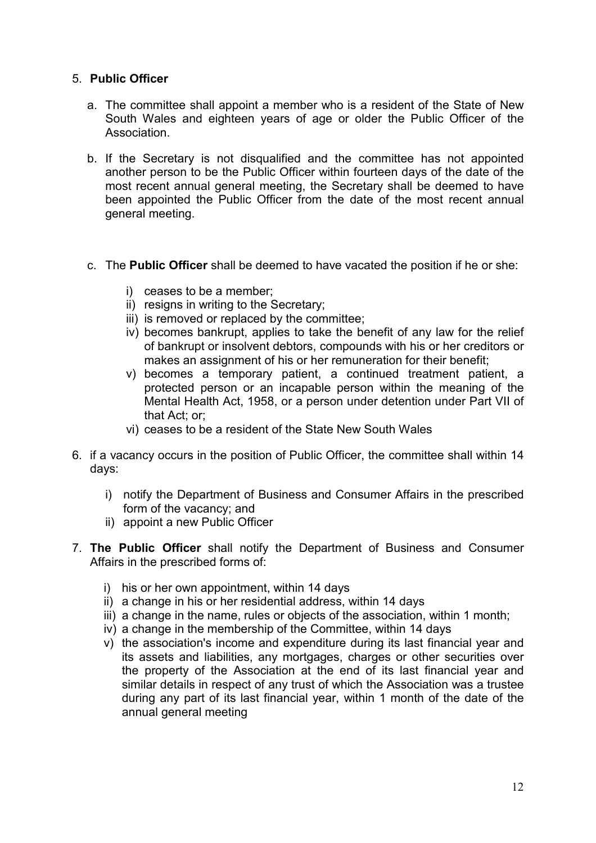#### 5. **Public Officer**

- a. The committee shall appoint a member who is a resident of the State of New South Wales and eighteen years of age or older the Public Officer of the Association.
- b. If the Secretary is not disqualified and the committee has not appointed another person to be the Public Officer within fourteen days of the date of the most recent annual general meeting, the Secretary shall be deemed to have been appointed the Public Officer from the date of the most recent annual general meeting.
- c. The **Public Officer** shall be deemed to have vacated the position if he or she:
	- i) ceases to be a member;
	- ii) resigns in writing to the Secretary;
	- iii) is removed or replaced by the committee;
	- iv) becomes bankrupt, applies to take the benefit of any law for the relief of bankrupt or insolvent debtors, compounds with his or her creditors or makes an assignment of his or her remuneration for their benefit;
	- v) becomes a temporary patient, a continued treatment patient, a protected person or an incapable person within the meaning of the Mental Health Act, 1958, or a person under detention under Part VII of that Act; or;
	- vi) ceases to be a resident of the State New South Wales
- 6. if a vacancy occurs in the position of Public Officer, the committee shall within 14 days:
	- i) notify the Department of Business and Consumer Affairs in the prescribed form of the vacancy; and
	- ii) appoint a new Public Officer
- 7. **The Public Officer** shall notify the Department of Business and Consumer Affairs in the prescribed forms of:
	- i) his or her own appointment, within 14 days
	- ii) a change in his or her residential address, within 14 days
	- iii) a change in the name, rules or objects of the association, within 1 month;
	- iv) a change in the membership of the Committee, within 14 days
	- v) the association's income and expenditure during its last financial year and its assets and liabilities, any mortgages, charges or other securities over the property of the Association at the end of its last financial year and similar details in respect of any trust of which the Association was a trustee during any part of its last financial year, within 1 month of the date of the annual general meeting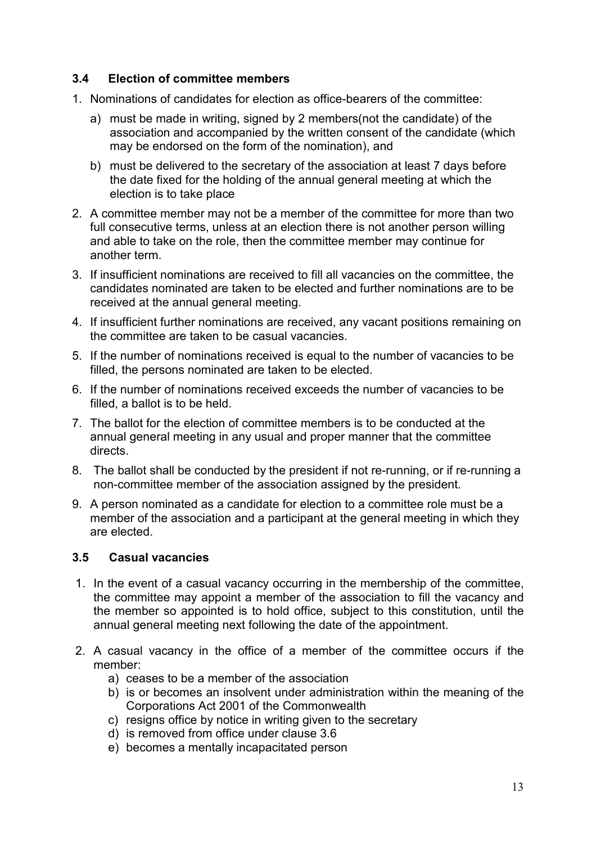#### **3.4 Election of committee members**

- 1. Nominations of candidates for election as office-bearers of the committee:
	- a) must be made in writing, signed by 2 members(not the candidate) of the association and accompanied by the written consent of the candidate (which may be endorsed on the form of the nomination), and
	- b) must be delivered to the secretary of the association at least 7 days before the date fixed for the holding of the annual general meeting at which the election is to take place
- 2. A committee member may not be a member of the committee for more than two full consecutive terms, unless at an election there is not another person willing and able to take on the role, then the committee member may continue for another term.
- 3. If insufficient nominations are received to fill all vacancies on the committee, the candidates nominated are taken to be elected and further nominations are to be received at the annual general meeting.
- 4. If insufficient further nominations are received, any vacant positions remaining on the committee are taken to be casual vacancies.
- 5. If the number of nominations received is equal to the number of vacancies to be filled, the persons nominated are taken to be elected.
- 6. If the number of nominations received exceeds the number of vacancies to be filled, a ballot is to be held.
- 7. The ballot for the election of committee members is to be conducted at the annual general meeting in any usual and proper manner that the committee directs.
- 8. The ballot shall be conducted by the president if not re-running, or if re-running a non-committee member of the association assigned by the president.
- 9. A person nominated as a candidate for election to a committee role must be a member of the association and a participant at the general meeting in which they are elected.

#### **3.5 Casual vacancies**

- 1. In the event of a casual vacancy occurring in the membership of the committee, the committee may appoint a member of the association to fill the vacancy and the member so appointed is to hold office, subject to this constitution, until the annual general meeting next following the date of the appointment.
- 2. A casual vacancy in the office of a member of the committee occurs if the member:
	- a) ceases to be a member of the association
	- b) is or becomes an insolvent under administration within the meaning of the Corporations Act 2001 of the Commonwealth
	- c) resigns office by notice in writing given to the secretary
	- d) is removed from office under clause 3.6
	- e) becomes a mentally incapacitated person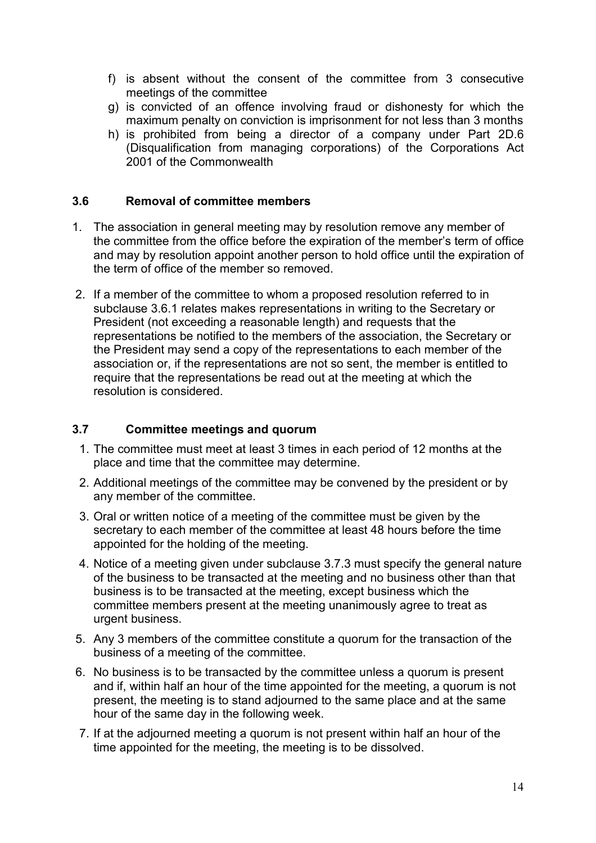- f) is absent without the consent of the committee from 3 consecutive meetings of the committee
- g) is convicted of an offence involving fraud or dishonesty for which the maximum penalty on conviction is imprisonment for not less than 3 months
- h) is prohibited from being a director of a company under Part 2D.6 (Disqualification from managing corporations) of the Corporations Act 2001 of the Commonwealth

#### **3.6 Removal of committee members**

- 1. The association in general meeting may by resolution remove any member of the committee from the office before the expiration of the member's term of office and may by resolution appoint another person to hold office until the expiration of the term of office of the member so removed.
- 2. If a member of the committee to whom a proposed resolution referred to in subclause 3.6.1 relates makes representations in writing to the Secretary or President (not exceeding a reasonable length) and requests that the representations be notified to the members of the association, the Secretary or the President may send a copy of the representations to each member of the association or, if the representations are not so sent, the member is entitled to require that the representations be read out at the meeting at which the resolution is considered.

#### **3.7 Committee meetings and quorum**

- 1. The committee must meet at least 3 times in each period of 12 months at the place and time that the committee may determine.
- 2. Additional meetings of the committee may be convened by the president or by any member of the committee.
- 3. Oral or written notice of a meeting of the committee must be given by the secretary to each member of the committee at least 48 hours before the time appointed for the holding of the meeting.
- 4. Notice of a meeting given under subclause 3.7.3 must specify the general nature of the business to be transacted at the meeting and no business other than that business is to be transacted at the meeting, except business which the committee members present at the meeting unanimously agree to treat as urgent business.
- 5. Any 3 members of the committee constitute a quorum for the transaction of the business of a meeting of the committee.
- 6. No business is to be transacted by the committee unless a quorum is present and if, within half an hour of the time appointed for the meeting, a quorum is not present, the meeting is to stand adjourned to the same place and at the same hour of the same day in the following week.
- 7. If at the adjourned meeting a quorum is not present within half an hour of the time appointed for the meeting, the meeting is to be dissolved.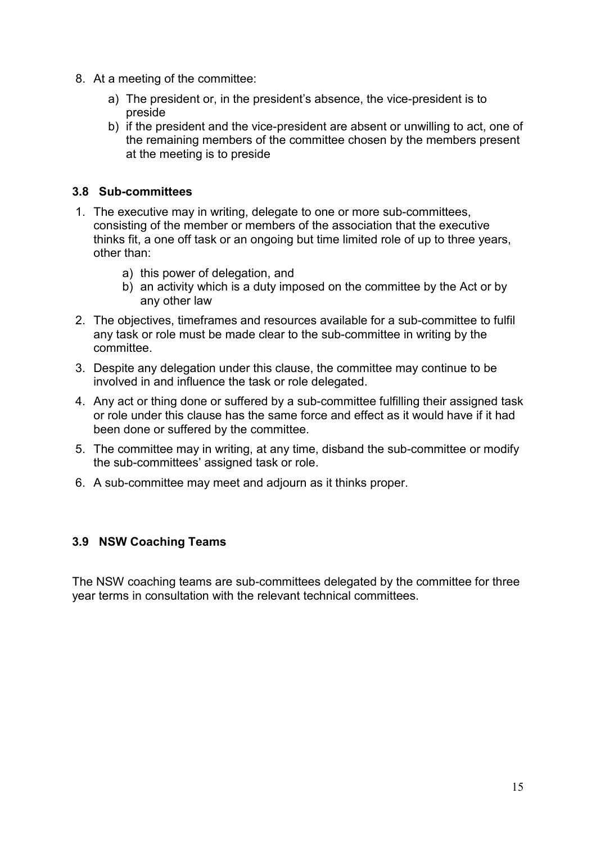- 8. At a meeting of the committee:
	- a) The president or, in the president's absence, the vice-president is to preside
	- b) if the president and the vice-president are absent or unwilling to act, one of the remaining members of the committee chosen by the members present at the meeting is to preside

#### **3.8 Sub-committees**

- 1. The executive may in writing, delegate to one or more sub-committees, consisting of the member or members of the association that the executive thinks fit, a one off task or an ongoing but time limited role of up to three years, other than:
	- a) this power of delegation, and
	- b) an activity which is a duty imposed on the committee by the Act or by any other law
- 2. The objectives, timeframes and resources available for a sub-committee to fulfil any task or role must be made clear to the sub-committee in writing by the committee.
- 3. Despite any delegation under this clause, the committee may continue to be involved in and influence the task or role delegated.
- 4. Any act or thing done or suffered by a sub-committee fulfilling their assigned task or role under this clause has the same force and effect as it would have if it had been done or suffered by the committee.
- 5. The committee may in writing, at any time, disband the sub-committee or modify the sub-committees' assigned task or role.
- 6. A sub-committee may meet and adjourn as it thinks proper.

#### **3.9 NSW Coaching Teams**

The NSW coaching teams are sub-committees delegated by the committee for three year terms in consultation with the relevant technical committees.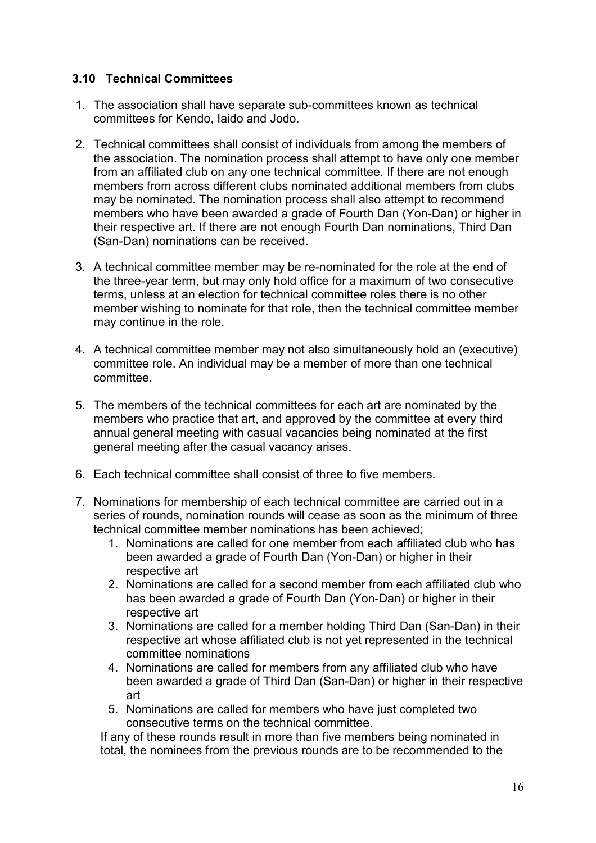#### **3.10 Technical Committees**

- 1. The association shall have separate sub-committees known as technical committees for Kendo, Iaido and Jodo.
- 2. Technical committees shall consist of individuals from among the members of the association. The nomination process shall attempt to have only one member from an affiliated club on any one technical committee. If there are not enough members from across different clubs nominated additional members from clubs may be nominated. The nomination process shall also attempt to recommend members who have been awarded a grade of Fourth Dan (Yon-Dan) or higher in their respective art. If there are not enough Fourth Dan nominations, Third Dan (San-Dan) nominations can be received.
- 3. A technical committee member may be re-nominated for the role at the end of the three-year term, but may only hold office for a maximum of two consecutive terms, unless at an election for technical committee roles there is no other member wishing to nominate for that role, then the technical committee member may continue in the role.
- 4. A technical committee member may not also simultaneously hold an (executive) committee role. An individual may be a member of more than one technical committee.
- 5. The members of the technical committees for each art are nominated by the members who practice that art, and approved by the committee at every third annual general meeting with casual vacancies being nominated at the first general meeting after the casual vacancy arises.
- 6. Each technical committee shall consist of three to five members.
- 7. Nominations for membership of each technical committee are carried out in a series of rounds, nomination rounds will cease as soon as the minimum of three technical committee member nominations has been achieved;
	- 1. Nominations are called for one member from each affiliated club who has been awarded a grade of Fourth Dan (Yon-Dan) or higher in their respective art
	- 2. Nominations are called for a second member from each affiliated club who has been awarded a grade of Fourth Dan (Yon-Dan) or higher in their respective art
	- 3. Nominations are called for a member holding Third Dan (San-Dan) in their respective art whose affiliated club is not yet represented in the technical committee nominations
	- 4. Nominations are called for members from any affiliated club who have been awarded a grade of Third Dan (San-Dan) or higher in their respective art
	- 5. Nominations are called for members who have just completed two consecutive terms on the technical committee.

If any of these rounds result in more than five members being nominated in total, the nominees from the previous rounds are to be recommended to the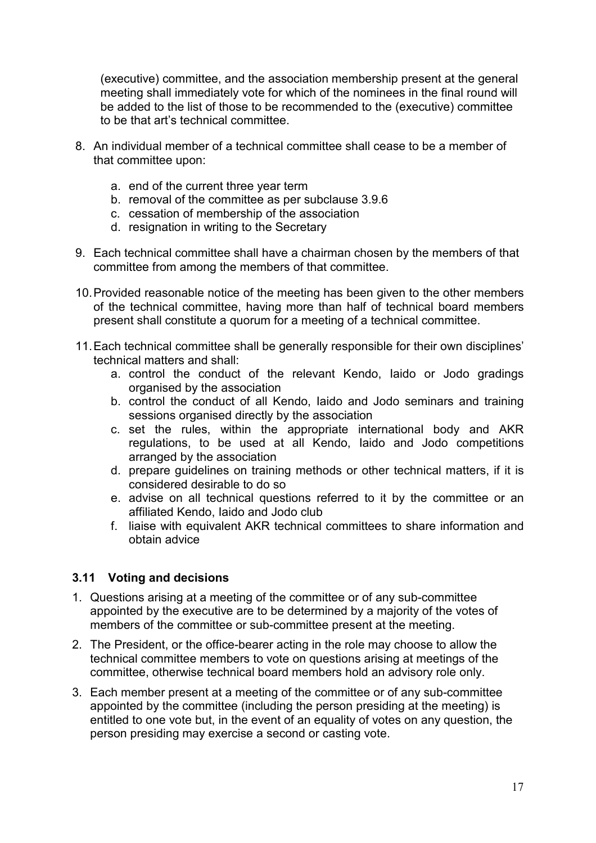(executive) committee, and the association membership present at the general meeting shall immediately vote for which of the nominees in the final round will be added to the list of those to be recommended to the (executive) committee to be that art's technical committee.

- 8. An individual member of a technical committee shall cease to be a member of that committee upon:
	- a. end of the current three year term
	- b. removal of the committee as per subclause 3.9.6
	- c. cessation of membership of the association
	- d. resignation in writing to the Secretary
- 9. Each technical committee shall have a chairman chosen by the members of that committee from among the members of that committee.
- 10.Provided reasonable notice of the meeting has been given to the other members of the technical committee, having more than half of technical board members present shall constitute a quorum for a meeting of a technical committee.
- 11.Each technical committee shall be generally responsible for their own disciplines' technical matters and shall:
	- a. control the conduct of the relevant Kendo, Iaido or Jodo gradings organised by the association
	- b. control the conduct of all Kendo, Iaido and Jodo seminars and training sessions organised directly by the association
	- c. set the rules, within the appropriate international body and AKR regulations, to be used at all Kendo, Iaido and Jodo competitions arranged by the association
	- d. prepare guidelines on training methods or other technical matters, if it is considered desirable to do so
	- e. advise on all technical questions referred to it by the committee or an affiliated Kendo, Iaido and Jodo club
	- f. liaise with equivalent AKR technical committees to share information and obtain advice

#### **3.11 Voting and decisions**

- 1. Questions arising at a meeting of the committee or of any sub-committee appointed by the executive are to be determined by a majority of the votes of members of the committee or sub-committee present at the meeting.
- 2. The President, or the office-bearer acting in the role may choose to allow the technical committee members to vote on questions arising at meetings of the committee, otherwise technical board members hold an advisory role only.
- 3. Each member present at a meeting of the committee or of any sub-committee appointed by the committee (including the person presiding at the meeting) is entitled to one vote but, in the event of an equality of votes on any question, the person presiding may exercise a second or casting vote.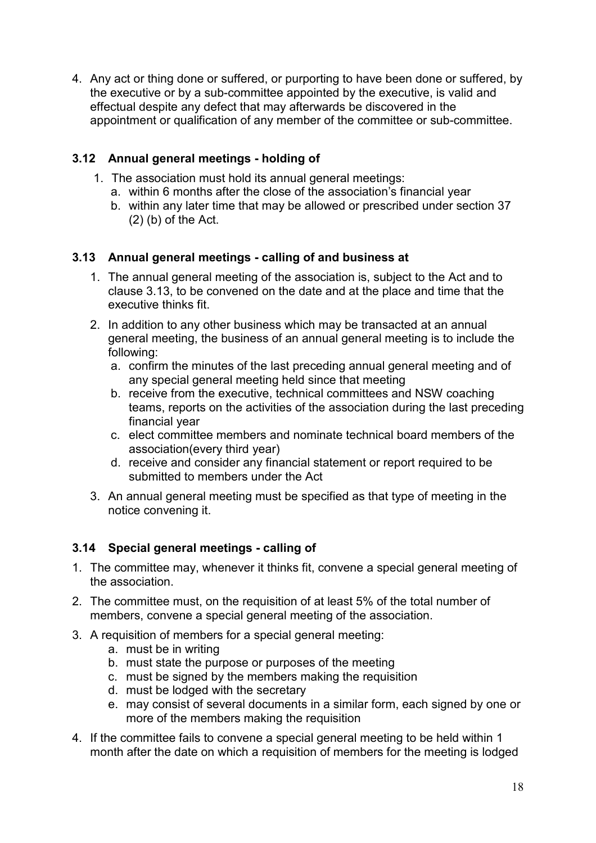4. Any act or thing done or suffered, or purporting to have been done or suffered, by the executive or by a sub-committee appointed by the executive, is valid and effectual despite any defect that may afterwards be discovered in the appointment or qualification of any member of the committee or sub-committee.

#### **3.12 Annual general meetings - holding of**

- 1. The association must hold its annual general meetings:
	- a. within 6 months after the close of the association's financial year
	- b. within any later time that may be allowed or prescribed under section 37  $(2)$  (b) of the Act.

#### **3.13 Annual general meetings - calling of and business at**

- 1. The annual general meeting of the association is, subject to the Act and to clause 3.13, to be convened on the date and at the place and time that the executive thinks fit.
- 2. In addition to any other business which may be transacted at an annual general meeting, the business of an annual general meeting is to include the following:
	- a. confirm the minutes of the last preceding annual general meeting and of any special general meeting held since that meeting
	- b. receive from the executive, technical committees and NSW coaching teams, reports on the activities of the association during the last preceding financial year
	- c. elect committee members and nominate technical board members of the association(every third year)
	- d. receive and consider any financial statement or report required to be submitted to members under the Act
- 3. An annual general meeting must be specified as that type of meeting in the notice convening it.

#### **3.14 Special general meetings - calling of**

- 1. The committee may, whenever it thinks fit, convene a special general meeting of the association.
- 2. The committee must, on the requisition of at least 5% of the total number of members, convene a special general meeting of the association.
- 3. A requisition of members for a special general meeting:
	- a. must be in writing
	- b. must state the purpose or purposes of the meeting
	- c. must be signed by the members making the requisition
	- d. must be lodged with the secretary
	- e. may consist of several documents in a similar form, each signed by one or more of the members making the requisition
- 4. If the committee fails to convene a special general meeting to be held within 1 month after the date on which a requisition of members for the meeting is lodged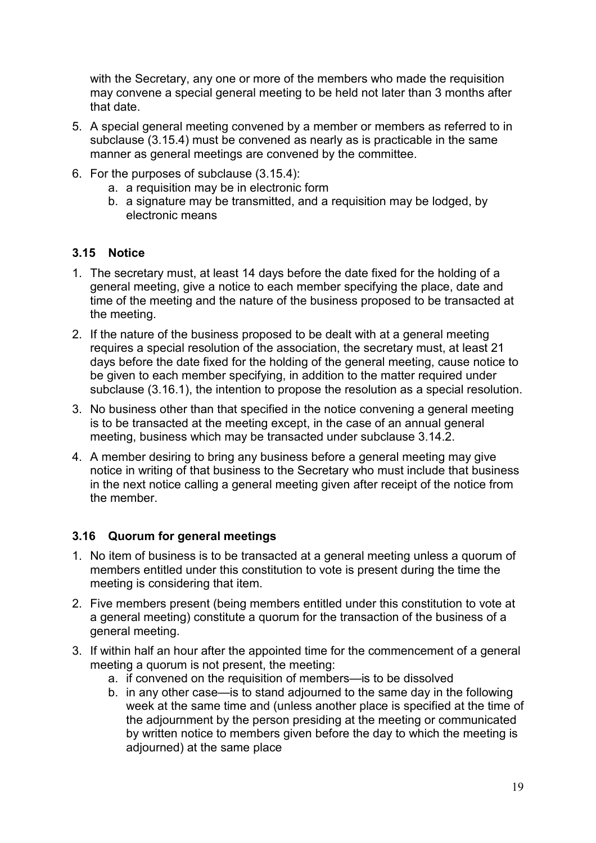with the Secretary, any one or more of the members who made the requisition may convene a special general meeting to be held not later than 3 months after that date.

- 5. A special general meeting convened by a member or members as referred to in subclause (3.15.4) must be convened as nearly as is practicable in the same manner as general meetings are convened by the committee.
- 6. For the purposes of subclause (3.15.4):
	- a. a requisition may be in electronic form
	- b. a signature may be transmitted, and a requisition may be lodged, by electronic means

#### **3.15 Notice**

- 1. The secretary must, at least 14 days before the date fixed for the holding of a general meeting, give a notice to each member specifying the place, date and time of the meeting and the nature of the business proposed to be transacted at the meeting.
- 2. If the nature of the business proposed to be dealt with at a general meeting requires a special resolution of the association, the secretary must, at least 21 days before the date fixed for the holding of the general meeting, cause notice to be given to each member specifying, in addition to the matter required under subclause (3.16.1), the intention to propose the resolution as a special resolution.
- 3. No business other than that specified in the notice convening a general meeting is to be transacted at the meeting except, in the case of an annual general meeting, business which may be transacted under subclause 3.14.2.
- 4. A member desiring to bring any business before a general meeting may give notice in writing of that business to the Secretary who must include that business in the next notice calling a general meeting given after receipt of the notice from the member.

#### **3.16 Quorum for general meetings**

- 1. No item of business is to be transacted at a general meeting unless a quorum of members entitled under this constitution to vote is present during the time the meeting is considering that item.
- 2. Five members present (being members entitled under this constitution to vote at a general meeting) constitute a quorum for the transaction of the business of a general meeting.
- 3. If within half an hour after the appointed time for the commencement of a general meeting a quorum is not present, the meeting:
	- a. if convened on the requisition of members—is to be dissolved
	- b. in any other case—is to stand adjourned to the same day in the following week at the same time and (unless another place is specified at the time of the adjournment by the person presiding at the meeting or communicated by written notice to members given before the day to which the meeting is adjourned) at the same place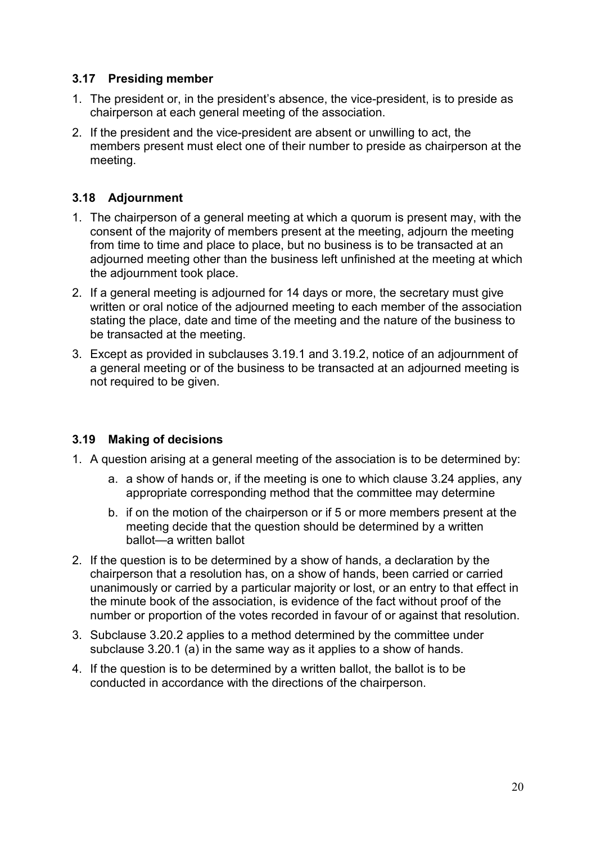#### **3.17 Presiding member**

- 1. The president or, in the president's absence, the vice-president, is to preside as chairperson at each general meeting of the association.
- 2. If the president and the vice-president are absent or unwilling to act, the members present must elect one of their number to preside as chairperson at the meeting.

#### **3.18 Adjournment**

- 1. The chairperson of a general meeting at which a quorum is present may, with the consent of the majority of members present at the meeting, adjourn the meeting from time to time and place to place, but no business is to be transacted at an adjourned meeting other than the business left unfinished at the meeting at which the adjournment took place.
- 2. If a general meeting is adjourned for 14 days or more, the secretary must give written or oral notice of the adjourned meeting to each member of the association stating the place, date and time of the meeting and the nature of the business to be transacted at the meeting.
- 3. Except as provided in subclauses 3.19.1 and 3.19.2, notice of an adjournment of a general meeting or of the business to be transacted at an adjourned meeting is not required to be given.

#### **3.19 Making of decisions**

- 1. A question arising at a general meeting of the association is to be determined by:
	- a. a show of hands or, if the meeting is one to which clause 3.24 applies, any appropriate corresponding method that the committee may determine
	- b. if on the motion of the chairperson or if 5 or more members present at the meeting decide that the question should be determined by a written ballot—a written ballot
- 2. If the question is to be determined by a show of hands, a declaration by the chairperson that a resolution has, on a show of hands, been carried or carried unanimously or carried by a particular majority or lost, or an entry to that effect in the minute book of the association, is evidence of the fact without proof of the number or proportion of the votes recorded in favour of or against that resolution.
- 3. Subclause 3.20.2 applies to a method determined by the committee under subclause 3.20.1 (a) in the same way as it applies to a show of hands.
- 4. If the question is to be determined by a written ballot, the ballot is to be conducted in accordance with the directions of the chairperson.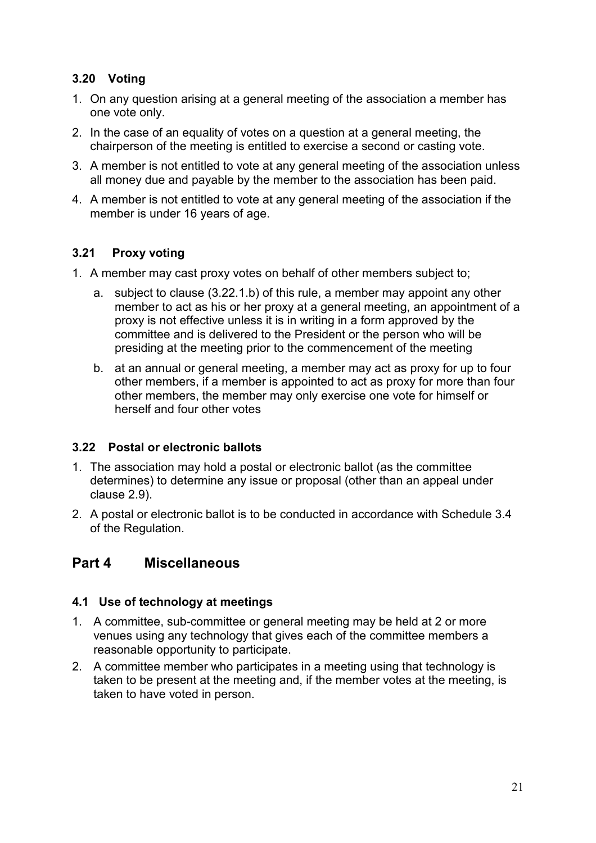#### **3.20 Voting**

- 1. On any question arising at a general meeting of the association a member has one vote only.
- 2. In the case of an equality of votes on a question at a general meeting, the chairperson of the meeting is entitled to exercise a second or casting vote.
- 3. A member is not entitled to vote at any general meeting of the association unless all money due and payable by the member to the association has been paid.
- 4. A member is not entitled to vote at any general meeting of the association if the member is under 16 years of age.

#### **3.21 Proxy voting**

- 1. A member may cast proxy votes on behalf of other members subject to;
	- a. subject to clause (3.22.1.b) of this rule, a member may appoint any other member to act as his or her proxy at a general meeting, an appointment of a proxy is not effective unless it is in writing in a form approved by the committee and is delivered to the President or the person who will be presiding at the meeting prior to the commencement of the meeting
	- b. at an annual or general meeting, a member may act as proxy for up to four other members, if a member is appointed to act as proxy for more than four other members, the member may only exercise one vote for himself or herself and four other votes

#### **3.22 Postal or electronic ballots**

- 1. The association may hold a postal or electronic ballot (as the committee determines) to determine any issue or proposal (other than an appeal under clause 2.9).
- 2. A postal or electronic ballot is to be conducted in accordance with Schedule 3.4 of the Regulation.

### **Part 4 Miscellaneous**

#### **4.1 Use of technology at meetings**

- 1. A committee, sub-committee or general meeting may be held at 2 or more venues using any technology that gives each of the committee members a reasonable opportunity to participate.
- 2. A committee member who participates in a meeting using that technology is taken to be present at the meeting and, if the member votes at the meeting, is taken to have voted in person.